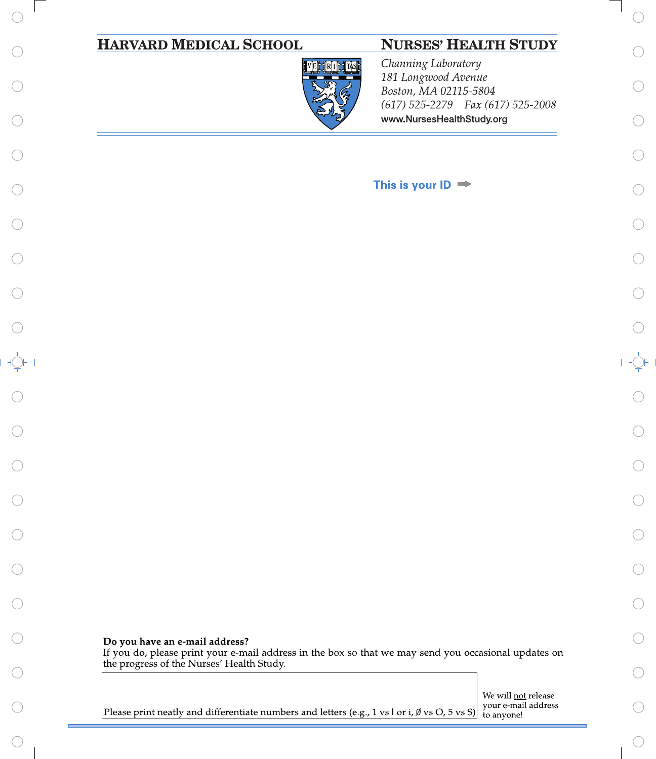| <b>HARVARD MEDICAL SCHOOL</b><br><b>NURSES' HEALTH STUDY</b>                                                                           |                                                          |
|----------------------------------------------------------------------------------------------------------------------------------------|----------------------------------------------------------|
| Channing Laboratory<br>VEPRI<br>181 Longwood Avenue<br>Boston, MA 02115-5804                                                           |                                                          |
| (617) 525-2279  Fax (617) 525-2008<br>www.NursesHealthStudy.org                                                                        |                                                          |
|                                                                                                                                        |                                                          |
| This is your $ID \Rightarrow$                                                                                                          |                                                          |
|                                                                                                                                        |                                                          |
|                                                                                                                                        |                                                          |
|                                                                                                                                        |                                                          |
|                                                                                                                                        |                                                          |
|                                                                                                                                        |                                                          |
|                                                                                                                                        |                                                          |
|                                                                                                                                        |                                                          |
|                                                                                                                                        |                                                          |
|                                                                                                                                        |                                                          |
|                                                                                                                                        |                                                          |
|                                                                                                                                        |                                                          |
|                                                                                                                                        |                                                          |
| Do you have an e-mail address?<br>If you do, please print your e-mail address in the box so that we may send you occasional updates on |                                                          |
| the progress of the Nurses' Health Study.                                                                                              |                                                          |
| Please print neatly and differentiate numbers and letters (e.g., 1 vs l or i, $\emptyset$ vs O, 5 vs S)                                | We will not release<br>your e-mail address<br>to anyone! |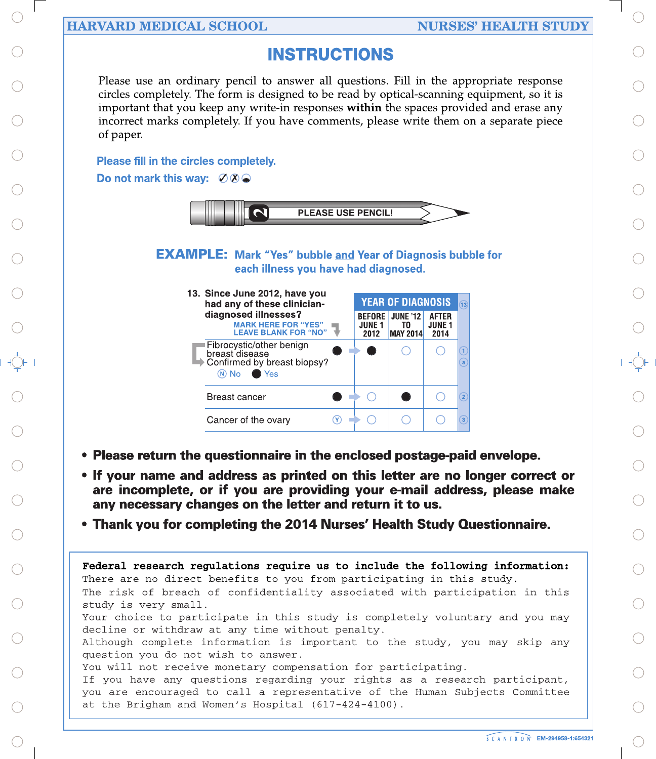## **HARVARD MEDICAL SCHOOL**

## **NURSES' HEALTH STUDY**

## **INSTRUCTIONS**

Please use an ordinary pencil to answer all questions. Fill in the appropriate response circles completely. The form is designed to be read by optical-scanning equipment, so it is important that you keep any write-in responses within the spaces provided and erase any incorrect marks completely. If you have comments, please write them on a separate piece of paper.

## **Please fill in the circles completely.**

Do not mark this way:  $\emptyset\emptyset\bigcirc$ 



**EXAMPLE:** Mark "Yes" bubble and Year of Diagnosis bubble for each illness you have had diagnosed.



- Please return the questionnaire in the enclosed postage-paid envelope.
- If your name and address as printed on this letter are no longer correct or are incomplete, or if you are providing your e-mail address, please make any necessary changes on the letter and return it to us.
- Thank you for completing the 2014 Nurses' Health Study Questionnaire.

Federal research regulations require us to include the following information: There are no direct benefits to you from participating in this study. The risk of breach of confidentiality associated with participation in this study is very small.

Your choice to participate in this study is completely voluntary and you may decline or withdraw at any time without penalty.

Although complete information is important to the study, you may skip any question you do not wish to answer.

You will not receive monetary compensation for participating.

If you have any questions regarding your rights as a research participant, you are encouraged to call a representative of the Human Subjects Committee at the Brigham and Women's Hospital (617-424-4100).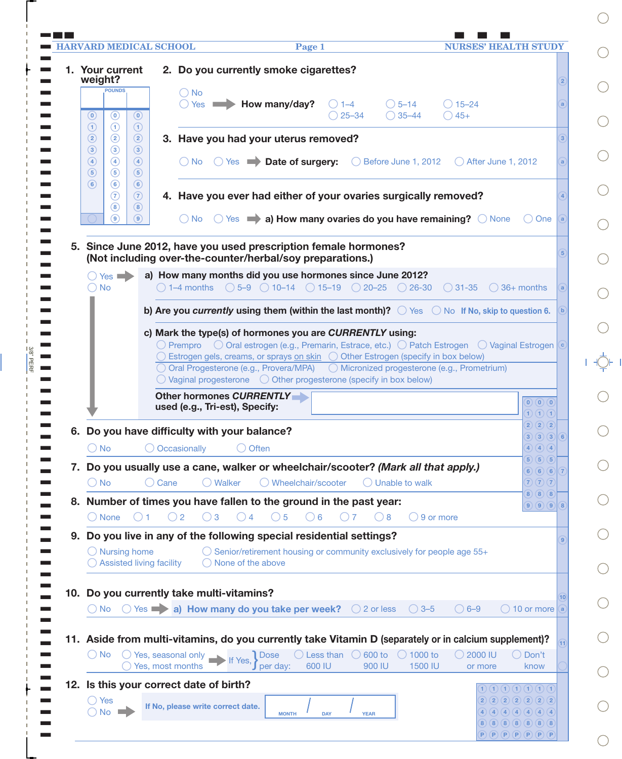|                                                                                                                                                         | <b>HARVARD MEDICAL SCHOOL</b><br><b>NURSES' HEALTH STUDY</b><br>Page 1                                                                                                                                                                                                                                                                               |                                                                                              |
|---------------------------------------------------------------------------------------------------------------------------------------------------------|------------------------------------------------------------------------------------------------------------------------------------------------------------------------------------------------------------------------------------------------------------------------------------------------------------------------------------------------------|----------------------------------------------------------------------------------------------|
| 1. Your current<br>weight?                                                                                                                              | 2. Do you currently smoke cigarettes?                                                                                                                                                                                                                                                                                                                | $\overline{2}$                                                                               |
| <b>POUNDS</b><br>$\odot$<br>$\odot$<br>$\left( 0\right)$                                                                                                | $\bigcirc$ No<br>$\bigcirc$ Yes $\blacksquare$ How many/day?<br>$\bigcirc$ 1–4<br>$\bigcirc$ 5–14<br>$\bigcirc$ 15–24<br>$\bigcirc$ 35–44<br>$\bigcirc$ 25–34<br>$\bigcirc$ 45+                                                                                                                                                                      | a                                                                                            |
| $\left( \widehat{1}\right)$<br>$\odot$<br>$\odot$<br>$\circled{2}$<br>$\circled{2}$<br>$\circled{2}$<br>$\circled{3}$<br>$\circled{3}$<br>$\circled{3}$ | 3. Have you had your uterus removed?                                                                                                                                                                                                                                                                                                                 |                                                                                              |
| $\bigcirc$<br>$\circled{4}$<br>$\circled{4}$<br>$\circled{5}$<br>$\circled{5}$<br>$\circled{5}$                                                         | ○ No ○ Yes ▶ Date of surgery:<br>$\bigcirc$ Before June 1, 2012 $\bigcirc$ After June 1, 2012                                                                                                                                                                                                                                                        | a                                                                                            |
| $\circ$<br>$\circled{6}$<br>$\circled{6}$<br>$\left(7\right)$<br>$\circled{7}$<br>$\circled{8}$<br>$\circled{8}$                                        | 4. Have you ever had either of your ovaries surgically removed?                                                                                                                                                                                                                                                                                      |                                                                                              |
| $\circled{9}$<br>(9)                                                                                                                                    | $\bigcirc$ No $\bigcirc$ Yes $\blacksquare$ a) How many ovaries do you have remaining? $\bigcirc$ None<br>$()$ One                                                                                                                                                                                                                                   | (a)                                                                                          |
|                                                                                                                                                         | 5. Since June 2012, have you used prescription female hormones?<br>(Not including over-the-counter/herbal/soy preparations.)                                                                                                                                                                                                                         |                                                                                              |
| $\bigcap$ Yes<br>$\bigcirc$ No                                                                                                                          | a) How many months did you use hormones since June 2012?<br>$\bigcirc$ 1–4 months $\bigcirc$ 5–9 $\bigcirc$ 10–14 $\bigcirc$ 15–19 $\bigcirc$ 20–25 $\bigcirc$ 26–30 $\bigcirc$ 31–35<br>$\bigcirc$ 36+ months                                                                                                                                       | a                                                                                            |
|                                                                                                                                                         | b) Are you currently using them (within the last month)? $\bigcirc$ Yes $\bigcirc$ No If No, skip to question 6.                                                                                                                                                                                                                                     |                                                                                              |
|                                                                                                                                                         | c) Mark the type(s) of hormones you are CURRENTLY using:<br>$\bigcirc$ Prempro $\bigcirc$ Oral estrogen (e.g., Premarin, Estrace, etc.) $\bigcirc$ Patch Estrogen $\bigcirc$ Vaginal Estrogen ( $\circ$                                                                                                                                              |                                                                                              |
|                                                                                                                                                         | ◯ Estrogen gels, creams, or sprays on skin ◯ Other Estrogen (specify in box below)<br>○ Oral Progesterone (e.g., Provera/MPA) ○ Micronized progesterone (e.g., Prometrium)<br>$\bigcirc$ Vaginal progesterone $\bigcirc$ Other progesterone (specify in box below)                                                                                   |                                                                                              |
|                                                                                                                                                         | Other hormones CURRENTLY<br>$\bigcirc$ $\bigcirc$ $\bigcirc$ $\bigcirc$<br>used (e.g., Tri-est), Specify:                                                                                                                                                                                                                                            | $\overline{1}$ $\overline{1}$ $\overline{1}$ $\overline{1}$                                  |
|                                                                                                                                                         | (2)(2)(2)<br>6. Do you have difficulty with your balance?                                                                                                                                                                                                                                                                                            | $\left( 6\right)$<br>(3)(3)(3)                                                               |
|                                                                                                                                                         | O Occasionally<br>$\bigcirc$ Often                                                                                                                                                                                                                                                                                                                   |                                                                                              |
| $\bigcirc$ No                                                                                                                                           |                                                                                                                                                                                                                                                                                                                                                      | $\boxed{4}$ $\boxed{4}$ $\boxed{4}$                                                          |
|                                                                                                                                                         | $\boxed{5}$ $\boxed{5}$ $\boxed{5}$<br>7. Do you usually use a cane, walker or wheelchair/scooter? (Mark all that apply.)                                                                                                                                                                                                                            | 6) 6) 6)<br>$\sqrt{7}$                                                                       |
| $\bigcirc$ No                                                                                                                                           | ◯ Wheelchair/scooter<br>$\bigcirc$ Unable to walk<br>$\overline{7}$ $\overline{7}$ $\overline{7}$ $\overline{7}$<br>◯ Walker<br>( Cane<br>8) (8) (8)<br>8. Number of times you have fallen to the ground in the past year:                                                                                                                           | $\left( 8\right)$<br>$\left(\mathbf{9}\right)\left(\mathbf{9}\right)\left(\mathbf{9}\right)$ |
| $\bigcirc$ None<br>()1                                                                                                                                  | $\bigcirc$ 3<br>$\bigcirc$ 4<br>$\bigcirc$ 5<br>$\bigcirc$ 6<br>$\bigcirc$ 2<br>$\bigcirc$ 9 or more<br>$($ $)$ 7<br>( ) 8                                                                                                                                                                                                                           |                                                                                              |
| $\bigcirc$ Nursing home                                                                                                                                 | 9. Do you live in any of the following special residential settings?<br>$\bigcirc$ Senior/retirement housing or community exclusively for people age 55+                                                                                                                                                                                             | $\boxed{9}$                                                                                  |
| Assisted living facility                                                                                                                                | None of the above                                                                                                                                                                                                                                                                                                                                    |                                                                                              |
| $\bigcap$ No                                                                                                                                            | 10. Do you currently take multi-vitamins?<br>$\bigcirc$ Yes $\longrightarrow$ a) How many do you take per week?<br>$\bigcirc$ 6-9<br>$\bigcirc$ 10 or more<br>$\bigcirc$ 2 or less<br>$\bigcirc$ 3-5                                                                                                                                                 | 10 <sup>1</sup>                                                                              |
|                                                                                                                                                         |                                                                                                                                                                                                                                                                                                                                                      |                                                                                              |
| $()$ No                                                                                                                                                 | 11. Aside from multi-vitamins, do you currently take Vitamin D (separately or in calcium supplement)?<br>$\bigcirc$ Yes, seasonal only<br>Less than<br>$\bigcirc$ 600 to<br>$\bigcirc$ 1000 to<br>$\bigcirc$ 2000 IU<br>$\bigcirc$ Don't<br><b>Dose</b><br>$\bigcirc$ Yes, most months<br>600 IU<br>900 IU<br>1500 IU<br>per day:<br>know<br>or more |                                                                                              |
|                                                                                                                                                         | 12. Is this your correct date of birth?<br>$\bf{1})$ $\bf{1})$ $\bf{1})$ $\bf{1})$ $\bf{1})$ $\bf{1})$ $\bf{1})$ $\bf{1})$                                                                                                                                                                                                                           |                                                                                              |
| $\bigcirc$ Yes<br>$\bigcirc$ No $\blacksquare$                                                                                                          | $2)$ $2)$ $2)$ $2)$ $2)$ $2)$ $2)$<br>If No, please write correct date.<br>4)(4)(4)(4)(4)(4)(4)<br><b>MONTH</b><br><b>DAY</b><br><b>YEAR</b><br>8)(8)(8)(8)(8)(8)(8)                                                                                                                                                                                 |                                                                                              |

 $=$   $\frac{3/8"PERF}{}$ .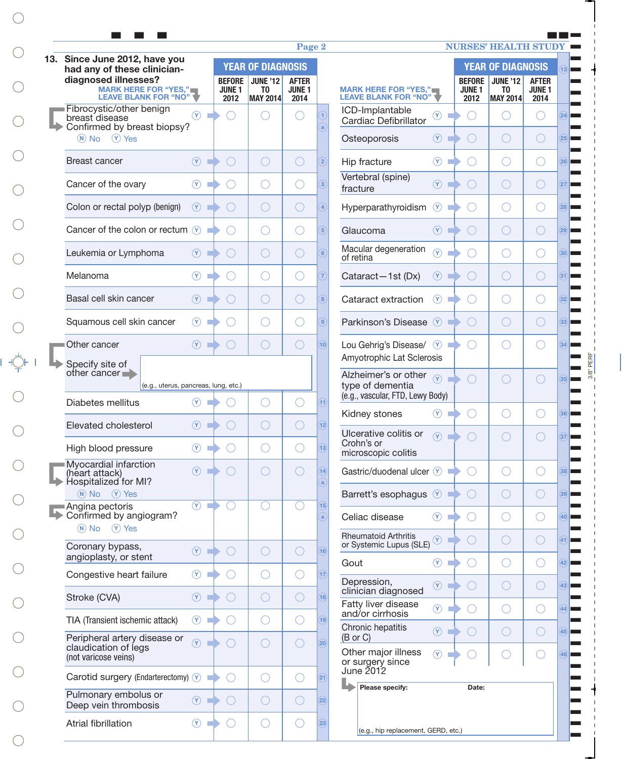| 13. Since June 2012, have you                                           |                                  |                                             |                                                 | Page 2                |                                 |                                                                         |                |                           | <b>NURSES' HEALTH STUDY</b>                     |                                  |
|-------------------------------------------------------------------------|----------------------------------|---------------------------------------------|-------------------------------------------------|-----------------------|---------------------------------|-------------------------------------------------------------------------|----------------|---------------------------|-------------------------------------------------|----------------------------------|
| had any of these clinician-<br>diagnosed illnesses?                     |                                  | <b>BEFORE</b>                               | <b>YEAR OF DIAGNOSIS</b><br><b>JUNE '12</b>     | <b>AFTER</b>          |                                 |                                                                         |                | <b>BEFORE</b>             | <b>YEAR OF DIAGNOSIS</b><br><b>JUNE '12</b>     | <b>AFTER</b>                     |
| MARK HERE FOR "YES," LEAVE BLANK FOR "NO"                               |                                  | JUNE <sub>1</sub><br>2012                   | T <sub>0</sub><br><b>MAY 2014</b>               | <b>JUNE 1</b><br>2014 |                                 | <b>MARK HERE FOR "YES,"</b><br>LEAVE BLANK FOR "NO"                     |                | JUNE <sub>1</sub><br>2012 | T <sub>0</sub><br><b>MAY 2014</b>               | JUNE <sub>1</sub><br>2014        |
| Fibrocystic/other benign<br>breast disease                              | $(\mathsf{Y})$                   |                                             |                                                 |                       | 1                               | ICD-Implantable<br>Cardiac Defibrillator                                | $\circledcirc$ | $(\ )$                    |                                                 |                                  |
| Confirmed by breast biopsy?<br>$(N)$ No $(Y)$ Yes                       |                                  |                                             |                                                 |                       | $\mathbf{a}$                    | Osteoporosis                                                            | $\circledcirc$ | $(\ )$                    | ( )                                             | ( )                              |
| <b>Breast cancer</b>                                                    | $\circled{r}$                    | $\left(\begin{array}{c} \end{array}\right)$ | $\bigcirc$                                      | $\left(\right)$       | $\overline{2}$                  | Hip fracture                                                            | $\circledcirc$ | $(\ )$                    | $(\ )$                                          | $(\ )$                           |
| Cancer of the ovary                                                     | $\circledcirc$                   |                                             | $\left( \begin{array}{c} 1 \end{array} \right)$ | ( )                   | $\overline{3}$                  | Vertebral (spine)<br>fracture                                           | $\circledcirc$ | $(\ )$                    | ◯                                               | $(\ )$                           |
| Colon or rectal polyp (benign)                                          | $\circled{r}$                    | $\left(\begin{array}{c} \end{array}\right)$ | $\bigcirc$                                      | O                     | $\overline{4}$                  | Hyperparathyroidism                                                     | $\circledcirc$ | $(\ )$                    |                                                 | $(\ )$                           |
| Cancer of the colon or rectum $\sqrt{Y}$                                |                                  |                                             | $\left( \begin{array}{c} 1 \end{array} \right)$ | $\left(\ \right)$     | $\overline{5}$                  | Glaucoma                                                                | $\circled{r}$  | $($ )                     | ( )                                             | $(\ )$                           |
| Leukemia or Lymphoma                                                    | $\circledcirc$                   | $(\ )$                                      | $\bigcirc$                                      | O                     | 6                               | Macular degeneration<br>$\circledR$<br>of retina                        |                |                           |                                                 | $(\ )$                           |
| Melanoma                                                                | $\circled{r}$                    |                                             | $\left( \begin{array}{c} 1 \end{array} \right)$ | ( )                   | $\overline{7}$                  | Cataract-1st (Dx)                                                       | $\circledcirc$ | $( \ )$                   | $($ )                                           | $(\ )$                           |
| Basal cell skin cancer                                                  | $\circled{r}$                    | $( \ )$                                     | $\bigcirc$                                      | $\left(\ \right)$     | $\sqrt{8}$                      | Cataract extraction<br>$\circ$                                          |                | $(\ )$                    | $\left( \quad \right)$                          | $(\ )$                           |
| Squamous cell skin cancer                                               | $\circled{r}$                    |                                             | $($ )                                           | ( )                   | $\overline{9}$                  | Parkinson's Disease <sup>(Y)</sup>                                      |                | $($ )                     | $($ )                                           | $( \ )$                          |
| Other cancer                                                            | (9)                              | $($ )                                       | $\bigcirc$                                      | $\bigcirc$            | (10)                            | Lou Gehrig's Disease/ $\sqrt{y}$<br>Amyotrophic Lat Sclerosis           |                |                           |                                                 |                                  |
| Specify site of<br>other cancer<br>(e.g., uterus, pancreas, lung, etc.) |                                  |                                             |                                                 |                       |                                 | Alzheimer's or other<br>$\overline{(\overline{Y})}$<br>type of dementia |                |                           | $($ )                                           | $\begin{array}{ccc} \end{array}$ |
| Diabetes mellitus                                                       | $\circ$<br><b>The Co</b>         |                                             | $\left( \begin{array}{c} 1 \end{array} \right)$ | ( )                   | $\overline{11}$                 | (e.g., vascular, FTD, Lewy Body)<br>Kidney stones                       | $\circledcirc$ | $(\ )$                    |                                                 |                                  |
| Elevated cholesterol                                                    | (Y)                              |                                             | $($ )                                           | $(\ )$                | 12                              | Ulcerative colitis or                                                   | $\Omega$       |                           |                                                 |                                  |
| High blood pressure                                                     | $\circledcirc$                   |                                             | O                                               | O                     | (13)                            | Crohn's or<br>microscopic colitis                                       |                |                           |                                                 |                                  |
| Myocardial infarction<br>(heart attack)<br>Hospitalized for MI?         | $\circledcirc$                   | $( \ )$                                     | $\bigcirc$                                      | $\bigcirc$            | $\overline{14}$<br>$\mathbf{a}$ | Gastric/duodenal ulcer $\vee$                                           |                | O                         | $\left( \begin{array}{c} 1 \end{array} \right)$ |                                  |
| (N) No (Y) Yes<br>Angina pectoris                                       | $\overline{(\gamma)}$<br>m       | ∩                                           | ∩                                               | ∩                     | 15                              | Barrett's esophagus (Y)                                                 |                | $\bigcirc$                | $\bigcirc$                                      | ( )                              |
| Confirmed by angiogram?<br>(N) No (Y) Yes                               |                                  |                                             |                                                 |                       | a                               | Celiac disease                                                          | $\circledcirc$ | $( \ )$                   | $\bigcirc$                                      |                                  |
| Coronary bypass,                                                        | $\circ$                          | O                                           | $\bigcirc$                                      | $\bigcirc$            | (16)                            | <b>Rheumatoid Arthritis</b><br>or Systemic Lupus (SLE)                  | $\circledcirc$ | O                         | $\bigcirc$                                      | O                                |
| angioplasty, or stent<br>Congestive heart failure                       | $\circledcirc$                   |                                             | $\bigcirc$                                      | O                     | (17)                            | Gout                                                                    | $\circledcirc$ | ( )                       | O                                               | O                                |
| Stroke (CVA)                                                            | $\circledcirc$                   | ( )                                         | $\bigcirc$                                      | $\bigcirc$            | (18)                            | Depression,<br>clinician diagnosed                                      | $\circled{r}$  | O                         | $\bigcirc$                                      | O                                |
| TIA (Transient ischemic attack)                                         | $\circledcirc$<br><b>COLLEGE</b> | $( \ )$                                     | $\bigcirc$                                      | O                     | (19)                            | Fatty liver disease<br>and/or cirrhosis                                 | $\circledcirc$ | $(\ )$                    | $\bigcirc$                                      | O                                |
| Peripheral artery disease or                                            | $\circled{r}$                    | ∩                                           | $\bigcirc$                                      | $\bigcirc$            | $\overline{20}$                 | Chronic hepatitis<br>(B or C)                                           | $\circledcirc$ | O                         | $\bigcirc$                                      | O                                |
| claudication of legs<br>(not varicose veins)                            |                                  |                                             |                                                 |                       |                                 | Other major illness<br>or surgery since                                 | $\circled{r}$  |                           |                                                 |                                  |
| Carotid surgery (Endarterectomy) Y                                      |                                  |                                             | $\bigcirc$                                      | O                     | $\boxed{21}$                    | June 2012<br>Please specify:                                            |                | Date:                     |                                                 |                                  |
| Pulmonary embolus or<br>Deep vein thrombosis                            | $\circ$                          | $\bigcirc$                                  | $\bigcirc$                                      | $\bigcirc$            | (22)                            |                                                                         |                |                           |                                                 |                                  |
| Atrial fibrillation                                                     | $\circledcirc$<br><b>The Co</b>  | ∩                                           | $\bigcirc$                                      | O                     | (23)                            | (e.g., hip replacement, GERD, etc.)                                     |                |                           |                                                 |                                  |

 $3/8" PERF$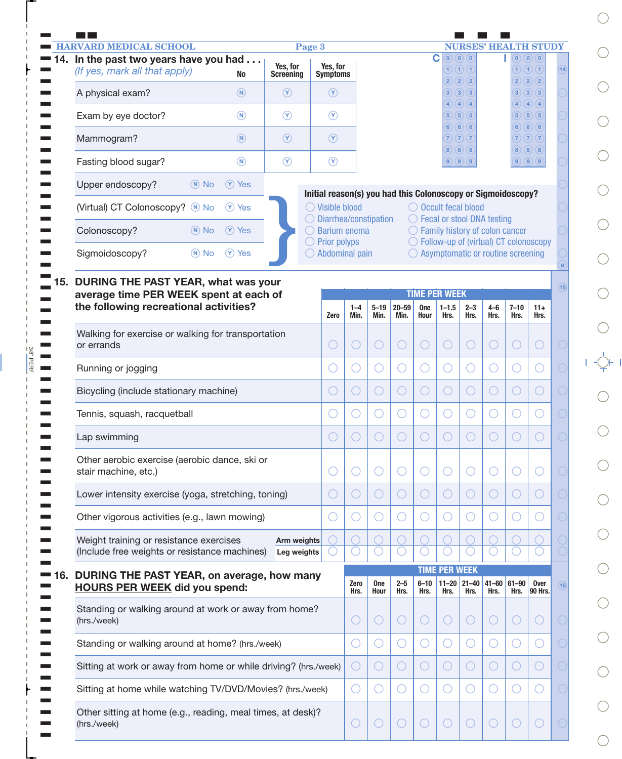|       | <b>HARVARD MEDICAL SCHOOL</b>                                                            |                              | Page 3                                                       |                                               |                    |                   |                  |                                       |                                                            |                        |                                              | <b>NURSES' HEALTH STUDY</b>                               |                 |
|-------|------------------------------------------------------------------------------------------|------------------------------|--------------------------------------------------------------|-----------------------------------------------|--------------------|-------------------|------------------|---------------------------------------|------------------------------------------------------------|------------------------|----------------------------------------------|-----------------------------------------------------------|-----------------|
|       | 14. In the past two years have you had<br>(If yes, mark all that apply)<br><b>No</b>     | Yes, for<br><b>Screening</b> | Yes, for<br><b>Symptoms</b>                                  |                                               |                    |                   |                  | C                                     | $\bigcirc$ $\bigcirc$ $\bigcirc$<br>1)(1)(1)<br>2) (2) (2) |                        | (2)(2)(2)                                    | $\bigcirc$ $\bigcirc$ $\bigcirc$ $\bigcirc$<br>1) (1) (1) | $\overline{14}$ |
|       | $\circledR$<br>A physical exam?                                                          | $\circledcirc$               | $\circledcirc$                                               |                                               |                    |                   |                  | $\mathbf{3}$ )                        | $\left( 3\right)$ $\left( 3\right)$<br>(4)(4)              |                        | 4) (4) (4)                                   | $3)$ $(3)$ $(3)$                                          |                 |
|       | $\circledR$<br>Exam by eye doctor?                                                       | $\circledcirc$               | $\circledcirc$                                               |                                               |                    |                   |                  | 4)<br>$\overline{5}$ )                | (5)(5)<br>6) 6) 6                                          |                        | 6) 6) 6                                      | 5)(5)(5)                                                  |                 |
|       | Mammogram?<br>$\circledR$                                                                | $\circledcirc$               | $\circledcirc$                                               |                                               |                    |                   |                  | $\sqrt{7}$ $\sqrt{7}$ $\sqrt{7}$      |                                                            |                        | 7) (7) (7)                                   |                                                           |                 |
|       | $\circledR$<br>Fasting blood sugar?                                                      | $\circledcirc$               | $\circledcirc$                                               |                                               |                    |                   |                  |                                       | 8) (8) (8)<br>$9)$ $(9)$ $(9)$                             |                        |                                              | 8)(8)(8)<br>$9)$ $(9)$ $(9)$                              |                 |
|       | Upper endoscopy?<br>$(N)$ No<br>$(Y)$ Yes                                                |                              | Initial reason(s) you had this Colonoscopy or Sigmoidoscopy? |                                               |                    |                   |                  |                                       |                                                            |                        |                                              |                                                           |                 |
|       | (Virtual) CT Colonoscopy? M No<br>$(Y)$ Yes                                              |                              | $\bigcirc$ Visible blood                                     |                                               |                    |                   |                  | ◯ Occult fecal blood                  |                                                            |                        |                                              |                                                           |                 |
|       | (Y) Yes<br>Colonoscopy?<br>$(N)$ No                                                      |                              | $\bigcirc$ Diarrhea/constipation<br>$\bigcirc$ Barium enema  |                                               |                    |                   |                  | $\bigcirc$ Fecal or stool DNA testing |                                                            |                        | ◯ Family history of colon cancer             |                                                           |                 |
|       | Sigmoidoscopy?<br>$(N)$ No<br>(Y) Yes                                                    |                              | $\bigcirc$ Prior polyps<br>Abdominal pain                    |                                               |                    |                   |                  |                                       |                                                            |                        | $\bigcirc$ Asymptomatic or routine screening | $\bigcirc$ Follow-up of (virtual) CT colonoscopy          | $\overline{a}$  |
|       | DURING THE PAST YEAR, what was your                                                      |                              |                                                              |                                               |                    |                   |                  |                                       |                                                            |                        |                                              |                                                           |                 |
|       | average time PER WEEK spent at each of<br>the following recreational activities?         |                              |                                                              | $1 - 4$                                       | $5 - 19$           | $20 - 59$         | <b>One</b>       | <b>TIME PER WEEK</b>                  | $2 - 3$                                                    | $4 - 6$                | $7 - 10$                                     |                                                           | (15)            |
|       |                                                                                          |                              | Zero                                                         | Min.                                          | Min.               | Min.              | Hour             | $1 - 1.5$<br>Hrs.                     | Hrs.                                                       | Hrs.                   | Hrs.                                         | $11+$<br>Hrs.                                             |                 |
|       | Walking for exercise or walking for transportation<br>or errands                         |                              | O                                                            | $\bigcirc$                                    | O                  | O                 | $\bigcirc$       | $\bigcirc$                            | $\left(\ \right)$                                          | O                      | $\bigcirc$                                   | $\bigcirc$                                                |                 |
|       | Running or jogging                                                                       |                              | Ő                                                            | $\bigcirc$                                    | 0                  | $\bigcirc$        | O                | O                                     | $\bigcirc$                                                 | O                      | $\bigcirc$                                   | 0                                                         |                 |
|       | Bicycling (include stationary machine)                                                   |                              | O                                                            | $\bigcirc$                                    | Ő                  | O                 | $\bigcirc$       | $\bigcirc$                            | $\bigcirc$                                                 | $\bigcirc$             | O                                            | $\bigcirc$                                                |                 |
|       | Tennis, squash, racquetball                                                              |                              | O                                                            | $\bigcirc$                                    | 0                  | $\bigcirc$        | ( )              | $\bigcirc$                            | $\bigcirc$                                                 | O                      | O                                            | 0                                                         |                 |
|       | Lap swimming                                                                             |                              | O                                                            | $\bigcirc$                                    | $\bigcirc$         | O                 | $\bigcirc$       | $\bigcirc$                            | O                                                          | $\bigcirc$             | Ő                                            | $\bigcirc$                                                |                 |
|       | Other aerobic exercise (aerobic dance, ski or<br>stair machine, etc.)                    |                              | O                                                            | $\left( \begin{array}{c} \end{array} \right)$ | ( )                | 0                 |                  | 0                                     | 0                                                          |                        | ( )                                          | 0                                                         |                 |
|       | Lower intensity exercise (yoga, stretching, toning)                                      |                              | $\bigcirc$                                                   | $\bigcirc$                                    | O                  | O                 | ( )              | $\bigcirc$                            | O                                                          | $\left( \quad \right)$ | $\bigcirc$                                   | ( )                                                       |                 |
|       | Other vigorous activities (e.g., lawn mowing)                                            |                              | O                                                            | $\left( \begin{array}{c} \end{array} \right)$ | 0                  | $\left(\ \right)$ |                  | 0                                     | 0                                                          |                        | $(\ )$                                       |                                                           |                 |
|       | Weight training or resistance exercises<br>(Include free weights or resistance machines) | Arm weights<br>Leg weights   |                                                              |                                               |                    |                   |                  |                                       |                                                            |                        |                                              |                                                           |                 |
| ■ 16. | DURING THE PAST YEAR, on average, how many                                               |                              |                                                              |                                               |                    |                   |                  | <b>TIME PER WEEK</b>                  |                                                            |                        |                                              |                                                           |                 |
|       | <b>HOURS PER WEEK did you spend:</b>                                                     |                              |                                                              | Zero<br>Hrs.                                  | <b>One</b><br>Hour | $2 - 5$<br>Hrs.   | $6 - 10$<br>Hrs. | $11 - 20$<br>Hrs.                     | $21 - 40$<br>Hrs.                                          | $41 - 60$<br>Hrs.      | $61 - 90$<br>Hrs.                            | Over<br>90 Hrs.                                           | (16)            |
|       | Standing or walking around at work or away from home?<br>(hrs./week)                     |                              |                                                              | $\bigcirc$                                    | $(\ )$             | O                 | ( )              | $\bigcirc$                            | $(\ )$                                                     | $\bigcirc$             | $\left(\begin{array}{c} \end{array}\right)$  | 0                                                         |                 |
|       | Standing or walking around at home? (hrs./week)                                          |                              |                                                              | O                                             |                    | $\left(\ \right)$ |                  | $\left(\ \right)$                     | 0                                                          |                        | ( )                                          |                                                           |                 |
|       | Sitting at work or away from home or while driving? (hrs./week)                          |                              |                                                              | $\left( \quad \right)$                        | O                  | O                 | ( )              | $\bigcirc$                            | O                                                          | $\bigcirc$             | $\bigcirc$                                   | $\left(\ \right)$                                         |                 |
|       | Sitting at home while watching TV/DVD/Movies? (hrs./week)                                |                              |                                                              | $\bigcirc$                                    | 0                  | O                 |                  | O                                     | 0                                                          |                        | $\circ$                                      | ( )                                                       |                 |
|       | Other sitting at home (e.g., reading, meal times, at desk)?                              |                              |                                                              |                                               |                    |                   |                  |                                       |                                                            |                        |                                              |                                                           |                 |

 $= 3/8" PERF$ 

 $\bigcirc$  $\bigcirc$  $\bigcirc$  $\bigcirc$  $\bigcirc$  $\bigcirc$  $\bigcirc$  $\bigcirc$  $\bigcirc$  $\bigcirc$  $\begin{array}{ccc} & & \\ \mid & \rightarrow & \\ \longleftarrow & & \\ \mid & \longmapsto & \\ \longleftarrow & & \\ \mid & \longmapsto & \\ \end{array}$  $\bigcirc$  $\bigcirc$  $\bigcirc$  $\bigcirc$  $\bigcirc$  $\bigcirc$  $\bigcirc$  $\bigcirc$  $\bigcirc$  $\bigcirc$  $\bigcirc$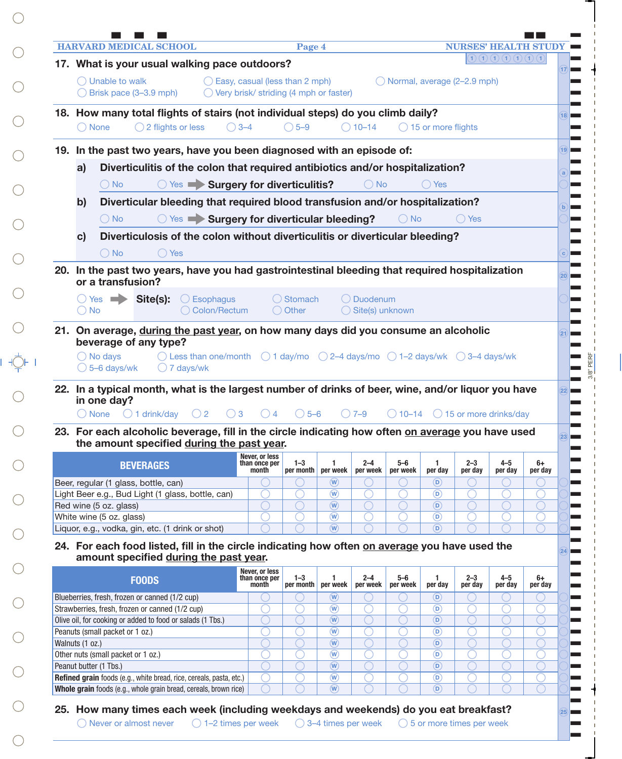| <b>HARVARD MEDICAL SCHOOL</b>                                                                                                                 |                                                   |                |                                                    |                               |                               |                                  | $\begin{array}{c} \textcolor{red}{\textbf{0}} \textcolor{black}{\textbf{0}} \textcolor{black}{\textbf{0}} \textcolor{black}{\textbf{0}} \textcolor{black}{\textbf{0}} \textcolor{black}{\textbf{0}} \textcolor{black}{\textbf{0}} \textcolor{black}{\textbf{0}} \textcolor{black}{\textbf{0}} \textcolor{black}{\textbf{0}} \textcolor{black}{\textbf{0}} \textcolor{black}{\textbf{0}} \textcolor{black}{\textbf{0}} \textcolor{black}{\textbf{0}} \textcolor{black}{\textbf{0}} \textcolor{black}{\textbf{0}} \textcolor{black}{\textbf{0}} \textcolor{black}{\textbf$ |                 |
|-----------------------------------------------------------------------------------------------------------------------------------------------|---------------------------------------------------|----------------|----------------------------------------------------|-------------------------------|-------------------------------|----------------------------------|--------------------------------------------------------------------------------------------------------------------------------------------------------------------------------------------------------------------------------------------------------------------------------------------------------------------------------------------------------------------------------------------------------------------------------------------------------------------------------------------------------------------------------------------------------------------------|-----------------|
| 17. What is your usual walking pace outdoors?                                                                                                 |                                                   |                |                                                    |                               |                               |                                  |                                                                                                                                                                                                                                                                                                                                                                                                                                                                                                                                                                          |                 |
| $\bigcirc$ Unable to walk                                                                                                                     | $\bigcirc$ Easy, casual (less than 2 mph)         |                |                                                    | O Normal, average (2-2.9 mph) |                               |                                  |                                                                                                                                                                                                                                                                                                                                                                                                                                                                                                                                                                          |                 |
| $\bigcirc$ Brisk pace (3–3.9 mph)                                                                                                             | $\bigcirc$ Very brisk/ striding (4 mph or faster) |                |                                                    |                               |                               |                                  |                                                                                                                                                                                                                                                                                                                                                                                                                                                                                                                                                                          |                 |
| 18. How many total flights of stairs (not individual steps) do you climb daily?                                                               |                                                   |                |                                                    |                               |                               |                                  |                                                                                                                                                                                                                                                                                                                                                                                                                                                                                                                                                                          |                 |
| $\bigcirc$ 2 flights or less<br>$\bigcirc$ None                                                                                               | $\bigcirc$ 3-4                                    | $\bigcirc$ 5-9 | $\bigcirc$ 10–14                                   |                               | $\bigcirc$ 15 or more flights |                                  |                                                                                                                                                                                                                                                                                                                                                                                                                                                                                                                                                                          |                 |
|                                                                                                                                               |                                                   |                |                                                    |                               |                               |                                  |                                                                                                                                                                                                                                                                                                                                                                                                                                                                                                                                                                          |                 |
| 19. In the past two years, have you been diagnosed with an episode of:                                                                        |                                                   |                |                                                    |                               |                               |                                  |                                                                                                                                                                                                                                                                                                                                                                                                                                                                                                                                                                          |                 |
| Diverticulitis of the colon that required antibiotics and/or hospitalization?<br>a)                                                           |                                                   |                |                                                    |                               |                               |                                  |                                                                                                                                                                                                                                                                                                                                                                                                                                                                                                                                                                          |                 |
| ◯ Yes ► Surgery for diverticulitis?<br>$\bigcirc$ No                                                                                          |                                                   |                | $()$ No                                            |                               | $\bigcirc$ Yes                |                                  |                                                                                                                                                                                                                                                                                                                                                                                                                                                                                                                                                                          |                 |
| Diverticular bleeding that required blood transfusion and/or hospitalization?<br>$\mathbf{b}$                                                 |                                                   |                |                                                    |                               |                               |                                  |                                                                                                                                                                                                                                                                                                                                                                                                                                                                                                                                                                          |                 |
| ◯ Yes ► Surgery for diverticular bleeding?<br>$\bigcirc$ No                                                                                   |                                                   |                |                                                    | ( ) No                        |                               | $\bigcap$ Yes                    |                                                                                                                                                                                                                                                                                                                                                                                                                                                                                                                                                                          |                 |
|                                                                                                                                               |                                                   |                |                                                    |                               |                               |                                  |                                                                                                                                                                                                                                                                                                                                                                                                                                                                                                                                                                          |                 |
| Diverticulosis of the colon without diverticulitis or diverticular bleeding?<br>$\mathbf{c}$                                                  |                                                   |                |                                                    |                               |                               |                                  |                                                                                                                                                                                                                                                                                                                                                                                                                                                                                                                                                                          |                 |
| $\bigcirc$ No<br>$\bigcirc$ Yes                                                                                                               |                                                   |                |                                                    |                               |                               |                                  |                                                                                                                                                                                                                                                                                                                                                                                                                                                                                                                                                                          |                 |
| 20. In the past two years, have you had gastrointestinal bleeding that required hospitalization                                               |                                                   |                |                                                    |                               |                               |                                  |                                                                                                                                                                                                                                                                                                                                                                                                                                                                                                                                                                          |                 |
| or a transfusion?                                                                                                                             |                                                   |                |                                                    |                               |                               |                                  |                                                                                                                                                                                                                                                                                                                                                                                                                                                                                                                                                                          |                 |
| Site(s):<br>$\bigcirc$ Esophagus<br>() Yes                                                                                                    |                                                   | ◯ Stomach      | ◯ Duodenum                                         |                               |                               |                                  |                                                                                                                                                                                                                                                                                                                                                                                                                                                                                                                                                                          |                 |
| $\bigcirc$ No<br>◯ Colon/Rectum                                                                                                               |                                                   | ◯ Other        | $\bigcirc$ Site(s) unknown                         |                               |                               |                                  |                                                                                                                                                                                                                                                                                                                                                                                                                                                                                                                                                                          |                 |
| 21. On average, during the past year, on how many days did you consume an alcoholic                                                           |                                                   |                |                                                    |                               |                               |                                  |                                                                                                                                                                                                                                                                                                                                                                                                                                                                                                                                                                          |                 |
|                                                                                                                                               |                                                   |                |                                                    |                               |                               |                                  |                                                                                                                                                                                                                                                                                                                                                                                                                                                                                                                                                                          |                 |
| beverage of any type?                                                                                                                         |                                                   |                |                                                    |                               |                               |                                  |                                                                                                                                                                                                                                                                                                                                                                                                                                                                                                                                                                          |                 |
| $\bigcirc$ No days<br>$\bigcirc$ Less than one/month $\bigcirc$ 1 day/mo $\bigcirc$ 2–4 days/mo $\bigcirc$ 1–2 days/wk $\bigcirc$ 3–4 days/wk |                                                   |                |                                                    |                               |                               |                                  |                                                                                                                                                                                                                                                                                                                                                                                                                                                                                                                                                                          |                 |
| $\bigcirc$ 5-6 days/wk<br>$\bigcirc$ 7 days/wk                                                                                                |                                                   |                |                                                    |                               |                               |                                  |                                                                                                                                                                                                                                                                                                                                                                                                                                                                                                                                                                          |                 |
| 22. In a typical month, what is the largest number of drinks of beer, wine, and/or liquor you have                                            |                                                   |                |                                                    |                               |                               |                                  |                                                                                                                                                                                                                                                                                                                                                                                                                                                                                                                                                                          |                 |
| in one day?                                                                                                                                   |                                                   |                |                                                    |                               |                               |                                  |                                                                                                                                                                                                                                                                                                                                                                                                                                                                                                                                                                          |                 |
| $\bigcap$ None<br>$\bigcirc$ 1 drink/day<br>$\bigcirc$ 2                                                                                      | $\bigcirc$ 3<br>()4                               | $\bigcirc$ 5-6 | $O$ 7-9                                            | $\bigcirc$ 10–14              |                               | $\bigcirc$ 15 or more drinks/day |                                                                                                                                                                                                                                                                                                                                                                                                                                                                                                                                                                          |                 |
| 23. For each alcoholic beverage, fill in the circle indicating how often on average you have used                                             |                                                   |                |                                                    |                               |                               |                                  |                                                                                                                                                                                                                                                                                                                                                                                                                                                                                                                                                                          |                 |
| the amount specified during the past year.                                                                                                    |                                                   |                |                                                    |                               |                               |                                  |                                                                                                                                                                                                                                                                                                                                                                                                                                                                                                                                                                          |                 |
| <b>BEVERAGES</b>                                                                                                                              | Never, or less<br>than once per<br>month          | $1 - 3$        | $2 - 4$<br>1                                       | $5 - 6$                       | $\mathbf{1}$                  | $2 - 3$                          | $4 - 5$                                                                                                                                                                                                                                                                                                                                                                                                                                                                                                                                                                  |                 |
| Beer, regular (1 glass, bottle, can)                                                                                                          |                                                   | per month      | per week<br>per week<br>$\left(\mathbf{W}\right)$  | per week                      | per day<br>$\circ$            | per day                          | per day                                                                                                                                                                                                                                                                                                                                                                                                                                                                                                                                                                  |                 |
| Light Beer e.g., Bud Light (1 glass, bottle, can)                                                                                             |                                                   |                | $\circledR$<br>۰                                   |                               | $\circledR$                   |                                  |                                                                                                                                                                                                                                                                                                                                                                                                                                                                                                                                                                          |                 |
| Red wine (5 oz. glass)                                                                                                                        |                                                   |                | $\left(\widehat{\mathsf{W}}\right)$<br>∩           |                               | $\circled{D}$                 |                                  |                                                                                                                                                                                                                                                                                                                                                                                                                                                                                                                                                                          |                 |
| White wine (5 oz. glass)                                                                                                                      |                                                   |                | $\widehat{(\mathsf{W})}$                           |                               | $\circledR$                   |                                  |                                                                                                                                                                                                                                                                                                                                                                                                                                                                                                                                                                          |                 |
| Liquor, e.g., vodka, gin, etc. (1 drink or shot)                                                                                              |                                                   |                | $\left(\overline{\mathsf{w}}\right)$               |                               | $\circ$                       |                                  |                                                                                                                                                                                                                                                                                                                                                                                                                                                                                                                                                                          | $6+$<br>per day |
| 24. For each food listed, fill in the circle indicating how often on average you have used the                                                |                                                   |                |                                                    |                               |                               |                                  |                                                                                                                                                                                                                                                                                                                                                                                                                                                                                                                                                                          |                 |
| amount specified during the past year.                                                                                                        |                                                   |                |                                                    |                               |                               |                                  |                                                                                                                                                                                                                                                                                                                                                                                                                                                                                                                                                                          |                 |
| <b>FOODS</b>                                                                                                                                  | Never, or less<br>than once per                   | $1 - 3$        | $2 - 4$<br>1                                       | $5 - 6$                       | 1.                            | $2 - 3$                          | $4 - 5$                                                                                                                                                                                                                                                                                                                                                                                                                                                                                                                                                                  |                 |
|                                                                                                                                               | month                                             | per month      | per week<br>per week                               | per week                      | per day                       | per day                          | per day                                                                                                                                                                                                                                                                                                                                                                                                                                                                                                                                                                  |                 |
| Blueberries, fresh, frozen or canned (1/2 cup)                                                                                                |                                                   |                | $(\mathsf{w})$                                     |                               | (D)                           |                                  |                                                                                                                                                                                                                                                                                                                                                                                                                                                                                                                                                                          |                 |
| Strawberries, fresh, frozen or canned (1/2 cup)                                                                                               |                                                   |                | $\circledR$<br>$\left(\widehat{\mathsf{W}}\right)$ |                               | $\circledcirc$<br>$\circ$     |                                  |                                                                                                                                                                                                                                                                                                                                                                                                                                                                                                                                                                          |                 |
| Olive oil, for cooking or added to food or salads (1 Tbs.)<br>Peanuts (small packet or 1 oz.)                                                 |                                                   |                | $\binom{w}{w}$                                     |                               | $\circledcirc$                |                                  |                                                                                                                                                                                                                                                                                                                                                                                                                                                                                                                                                                          |                 |
| Walnuts (1 oz.)                                                                                                                               |                                                   |                | $\left(\widehat{\mathsf{W}}\right)$                |                               | $\circ$                       |                                  |                                                                                                                                                                                                                                                                                                                                                                                                                                                                                                                                                                          |                 |
| Other nuts (small packet or 1 oz.)                                                                                                            |                                                   |                | $\circledR$                                        |                               | $\circledR$                   |                                  |                                                                                                                                                                                                                                                                                                                                                                                                                                                                                                                                                                          |                 |
| Peanut butter (1 Tbs.)                                                                                                                        |                                                   |                | $\circledR$                                        |                               | $\circ$                       |                                  |                                                                                                                                                                                                                                                                                                                                                                                                                                                                                                                                                                          | 6+<br>per day   |
| Refined grain foods (e.g., white bread, rice, cereals, pasta, etc.)<br>Whole grain foods (e.g., whole grain bread, cereals, brown rice)       |                                                   |                | $\circledR$                                        |                               | $\circledcirc$                |                                  |                                                                                                                                                                                                                                                                                                                                                                                                                                                                                                                                                                          |                 |

 $\bigcirc$  Never or almost never  $\bigcirc$  1-2 times per week  $\bigcirc$  3-4 times per week

 $\bigcirc$ 

 $\bigcirc$ 

 $\blacksquare$  $\blacksquare$ 

 $\bigcirc$  5 or more times per week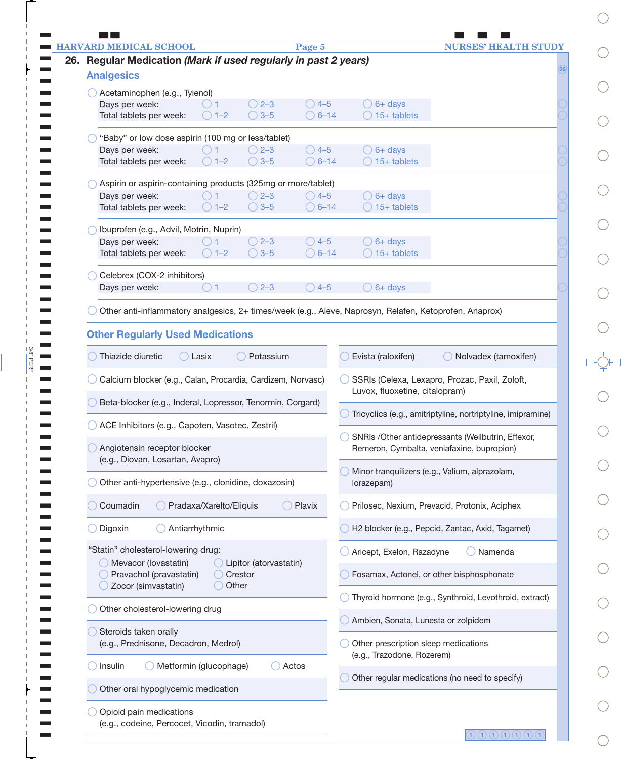| <b>HARVARD MEDICAL SCHOOL</b><br>Page 5                                                                 | <b>NURSES' HEALTH STUDY</b>                                                      |
|---------------------------------------------------------------------------------------------------------|----------------------------------------------------------------------------------|
| Regular Medication (Mark if used regularly in past 2 years)                                             | 26                                                                               |
| <b>Analgesics</b>                                                                                       |                                                                                  |
| Acetaminophen (e.g., Tylenol)                                                                           |                                                                                  |
| Days per week:<br>$\bigcirc$ 2-3<br>$\bigcirc$ 4-5                                                      | $\bigcirc$ 6+ days                                                               |
| $\bigcirc$ 1-2<br>$\bigcirc$ 3-5<br>$\bigcirc$ 6–14<br>Total tablets per week:                          | $\bigcirc$ 15+ tablets                                                           |
| "Baby" or low dose aspirin (100 mg or less/tablet)                                                      |                                                                                  |
| Days per week:<br>$\bigcirc$ 2–3<br>$\bigcirc$ 4-5                                                      | $\bigcirc$ 6+ days                                                               |
| $\bigcirc$ 3-5<br>$\bigcirc$ 6–14<br>Total tablets per week:<br>$\bigcirc$ 1-2                          | $\bigcirc$ 15+ tablets                                                           |
| Aspirin or aspirin-containing products (325mg or more/tablet)                                           |                                                                                  |
| $\bigcirc$ 4-5<br>Days per week:<br>$\bigcirc$ 2–3                                                      | $\bigcirc$ 6+ days                                                               |
| $\bigcirc$ 3-5<br>$\bigcirc$ 6–14<br>Total tablets per week:<br>$\bigcirc$ 1-2                          | $\bigcirc$ 15+ tablets                                                           |
| Ibuprofen (e.g., Advil, Motrin, Nuprin)                                                                 |                                                                                  |
| Days per week:<br>$\bigcirc$ 2-3<br>$\bigcirc$ 4-5                                                      | $\bigcirc$ 6+ days                                                               |
| $\bigcirc$ 1-2<br>$\bigcirc$ 3-5<br>$\bigcirc$ 6-14<br>Total tablets per week:                          | $\bigcirc$ 15+ tablets                                                           |
|                                                                                                         |                                                                                  |
| Celebrex (COX-2 inhibitors)<br>$\bigcirc$ 2-3<br>$\bigcirc$ 4-5<br>Days per week:<br>$\bigcirc$ 1       | $\bigcirc$ 6+ days                                                               |
|                                                                                                         |                                                                                  |
| Other anti-inflammatory analgesics, 2+ times/week (e.g., Aleve, Naprosyn, Relafen, Ketoprofen, Anaprox) |                                                                                  |
|                                                                                                         |                                                                                  |
| <b>Other Regularly Used Medications</b>                                                                 |                                                                                  |
| Thiazide diuretic<br>Potassium<br>$\bigcap$ Lasix                                                       | Evista (raloxifen)<br>◯ Nolvadex (tamoxifen)                                     |
|                                                                                                         |                                                                                  |
| Calcium blocker (e.g., Calan, Procardia, Cardizem, Norvasc)                                             | SSRIs (Celexa, Lexapro, Prozac, Paxil, Zoloft,<br>Luvox, fluoxetine, citalopram) |
| Beta-blocker (e.g., Inderal, Lopressor, Tenormin, Corgard)                                              |                                                                                  |
|                                                                                                         | Tricyclics (e.g., amitriptyline, nortriptyline, imipramine)                      |
| ACE Inhibitors (e.g., Capoten, Vasotec, Zestril)                                                        | SNRIs /Other antidepressants (Wellbutrin, Effexor,                               |
| Angiotensin receptor blocker                                                                            | Remeron, Cymbalta, veniafaxine, bupropion)                                       |
| (e.g., Diovan, Losartan, Avapro)                                                                        |                                                                                  |
| Other anti-hypertensive (e.g., clonidine, doxazosin)                                                    | Minor tranquilizers (e.g., Valium, alprazolam,<br>lorazepam)                     |
|                                                                                                         |                                                                                  |
| Coumadin<br>Pradaxa/Xarelto/Eliquis<br>$\bigcirc$ Plavix                                                | Prilosec, Nexium, Prevacid, Protonix, Aciphex                                    |
|                                                                                                         |                                                                                  |
| Antiarrhythmic<br>Digoxin                                                                               | H2 blocker (e.g., Pepcid, Zantac, Axid, Tagamet)                                 |
| "Statin" cholesterol-lowering drug:                                                                     | Aricept, Exelon, Razadyne<br>Namenda                                             |
| O Mevacor (lovastatin)<br>◯ Lipitor (atorvastatin)                                                      |                                                                                  |
| Pravachol (pravastatin)<br>◯ Crestor<br>◯ Zocor (simvastatin)<br>◯ Other                                | Fosamax, Actonel, or other bisphosphonate                                        |
|                                                                                                         | Thyroid hormone (e.g., Synthroid, Levothroid, extract)                           |
| Other cholesterol-lowering drug                                                                         |                                                                                  |
|                                                                                                         | Ambien, Sonata, Lunesta or zolpidem                                              |
| Steroids taken orally<br>(e.g., Prednisone, Decadron, Medrol)                                           | Other prescription sleep medications                                             |
|                                                                                                         | (e.g., Trazodone, Rozerem)                                                       |
| Metformin (glucophage)<br>Actos<br>Insulin                                                              |                                                                                  |
| Other oral hypoglycemic medication                                                                      | Other regular medications (no need to specify)                                   |
|                                                                                                         |                                                                                  |
|                                                                                                         |                                                                                  |

 $\frac{3/8}{2}$ PERF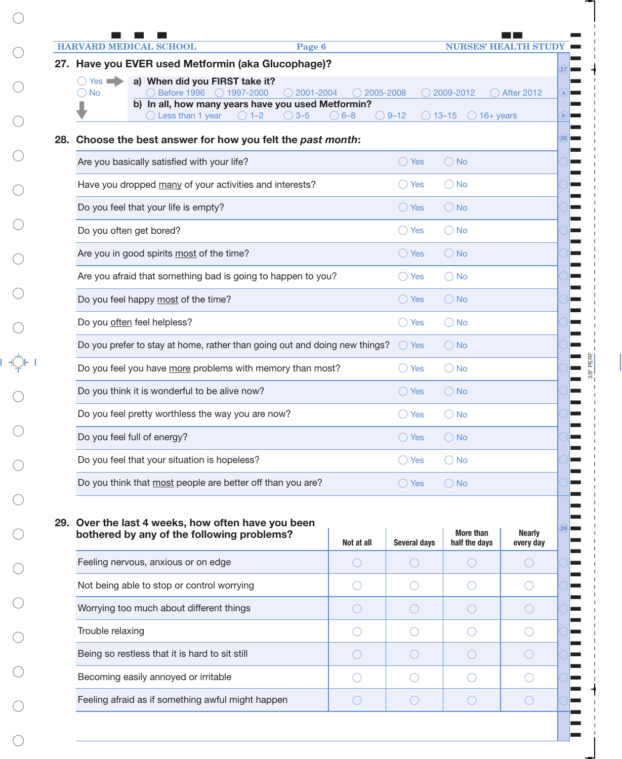|                             | <b>HARVARD MEDICAL SCHOOL</b>                                                                                               | Page 6                    |            |                     |                  | <b>NURSES' HEALTH STU</b>  |
|-----------------------------|-----------------------------------------------------------------------------------------------------------------------------|---------------------------|------------|---------------------|------------------|----------------------------|
|                             | 27. Have you EVER used Metformin (aka Glucophage)?                                                                          |                           |            |                     |                  |                            |
| $Yes \implies$<br><b>No</b> | a) When did you FIRST take it?<br>Before 1996<br>$\bigcirc$ 1997-2000<br>b) In all, how many years have you used Metformin? | 2001-2004                 | 2005-2008  |                     | 2009-2012        | <b>After 2012</b>          |
|                             | Less than 1 year<br>$\bigcirc$ 1-2                                                                                          | $3 - 5$<br>$\bigcirc$ 6–8 |            | $\bigcirc$ 9-12     | $\bigcirc$ 13–15 | $\bigcirc$ 16+ years       |
|                             | 28. Choose the best answer for how you felt the past month:                                                                 |                           |            |                     |                  |                            |
|                             | Are you basically satisfied with your life?                                                                                 |                           |            | ◯ Yes               | $\bigcirc$ No    |                            |
|                             | Have you dropped many of your activities and interests?                                                                     |                           |            | ◯ Yes               | $\bigcirc$ No    |                            |
|                             | Do you feel that your life is empty?                                                                                        |                           |            | $\bigcirc$ Yes      | $\bigcirc$ No    |                            |
|                             | Do you often get bored?                                                                                                     |                           |            | ○ Yes               | $\bigcirc$ No    |                            |
|                             | Are you in good spirits most of the time?                                                                                   |                           |            | $\bigcirc$ Yes      | $\bigcirc$ No    |                            |
|                             | Are you afraid that something bad is going to happen to you?                                                                |                           |            | ◯ Yes               | $\bigcirc$ No    |                            |
|                             | Do you feel happy most of the time?                                                                                         |                           |            | $\bigcirc$ Yes      | $\bigcirc$ No    |                            |
|                             | Do you often feel helpless?                                                                                                 |                           |            | $\bigcirc$ Yes      | $\bigcirc$ No    |                            |
|                             | Do you prefer to stay at home, rather than going out and doing new things?                                                  |                           |            | $\bigcirc$ Yes      | $\bigcirc$ No    |                            |
|                             | Do you feel you have more problems with memory than most?                                                                   |                           |            | () Yes              | $\bigcirc$ No    |                            |
|                             | Do you think it is wonderful to be alive now?                                                                               |                           |            | () Yes              | $\bigcirc$ No    |                            |
|                             | Do you feel pretty worthless the way you are now?                                                                           |                           |            | ◯ Yes               | $\bigcirc$ No    |                            |
|                             | Do you feel full of energy?                                                                                                 |                           |            | ( ) Yes             | $()$ No          |                            |
|                             | Do you feel that your situation is hopeless?                                                                                |                           |            | Yes                 | $\bigcirc$ No    |                            |
|                             | Do you think that most people are better off than you are?                                                                  |                           |            | $\bigcirc$ Yes      | $\bigcirc$ No    |                            |
|                             |                                                                                                                             |                           |            |                     |                  |                            |
|                             | 29. Over the last 4 weeks, how often have you been                                                                          |                           |            |                     | <b>More than</b> |                            |
|                             | bothered by any of the following problems?                                                                                  |                           | Not at all | <b>Several days</b> | half the days    | <b>Nearly</b><br>every day |
|                             | Feeling nervous, anxious or on edge                                                                                         |                           | $($ )      | $(\ )$              | $($ )            | $($ )                      |
|                             | Not being able to stop or control worrying                                                                                  |                           | $($ )      | $($ )               |                  |                            |
|                             | Worrying too much about different things                                                                                    |                           |            |                     |                  |                            |

 $3/8$ " PERF

 $\blacksquare$  $\blacksquare$  $\blacksquare$  $\blacksquare$  $\blacksquare$  $\blacksquare$  $\blacksquare$  $\blacksquare$  $\blacksquare$  $\blacksquare$ 

 $\circ$  0 0 0 0

 $\circ$  0 0 0 0

 $\circ$  0 0 0 0

 $\circ$  0 0 0 0

 $\bigcirc$  $\bigcirc$  $\bigcirc$  $\bigcirc$  $\bigcirc$  $\bigcirc$  $\bigcirc$  $\begin{array}{ccc}\n & \circ & \circ \\
& \circ & \circ \\
& \circ & \circ\n\end{array}$  $\bigcirc$  $\bigcirc$  $\bigcirc$  $\bigcirc$  $\bigcirc$  $\bigcirc$  $\bigcirc$  $\mathbb{C}$  $\bigcirc$ 

 $\bigcirc$ 

 $\bigcirc$ 

 $\mathcal{C}$ 

Trouble relaxing

Being so restless that it is hard to sit still

Feeling afraid as if something awful might happen

Becoming easily annoyed or irritable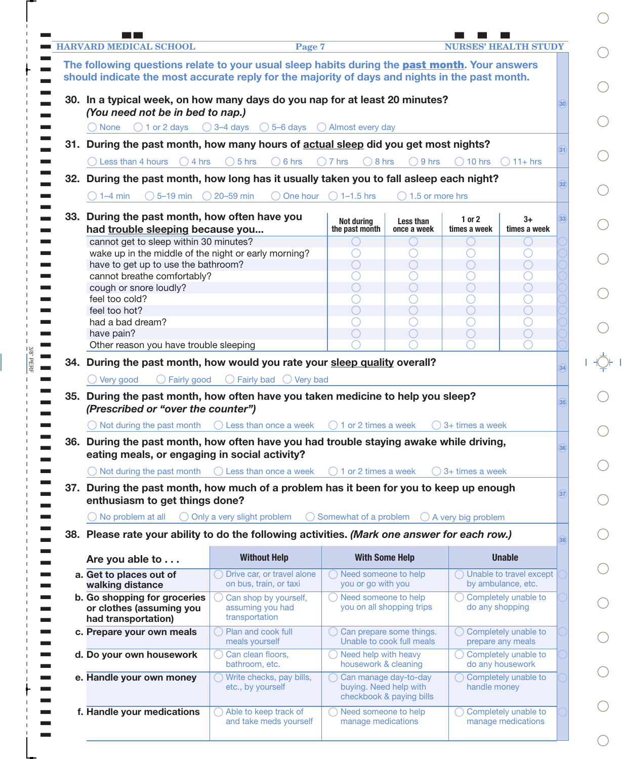| <b>HARVARD MEDICAL SCHOOL</b>                                                                                            | Page 7                                                              |                                                         |                                                   |                               | <b>NURSES' HEALTH STUDY</b>                         |                 |
|--------------------------------------------------------------------------------------------------------------------------|---------------------------------------------------------------------|---------------------------------------------------------|---------------------------------------------------|-------------------------------|-----------------------------------------------------|-----------------|
| The following questions relate to your usual sleep habits during the past month. Your answers                            |                                                                     |                                                         |                                                   |                               |                                                     |                 |
| should indicate the most accurate reply for the majority of days and nights in the past month.                           |                                                                     |                                                         |                                                   |                               |                                                     |                 |
|                                                                                                                          |                                                                     |                                                         |                                                   |                               |                                                     |                 |
| 30. In a typical week, on how many days do you nap for at least 20 minutes?<br>(You need not be in bed to nap.)          |                                                                     |                                                         |                                                   |                               |                                                     | 30              |
| $\bigcirc$ 1 or 2 days<br>( ) None                                                                                       | $\bigcirc$ 3-4 days $\bigcirc$ 5-6 days $\bigcirc$ Almost every day |                                                         |                                                   |                               |                                                     |                 |
|                                                                                                                          |                                                                     |                                                         |                                                   |                               |                                                     |                 |
| 31. During the past month, how many hours of actual sleep did you get most nights?                                       |                                                                     |                                                         |                                                   |                               |                                                     | 31              |
| $\bigcirc$ Less than 4 hours<br>$\bigcirc$ 4 hrs                                                                         | $\bigcirc$ 5 hrs<br>$\bigcirc$ 6 hrs                                | $\bigcirc$ 7 hrs<br>$\bigcirc$ 8 hrs                    | $\bigcirc$ 9 hrs                                  | $\bigcirc$ 10 hrs             | $11 + hrs$                                          |                 |
| 32. During the past month, how long has it usually taken you to fall asleep each night?                                  |                                                                     |                                                         |                                                   |                               |                                                     | 32 <sup>2</sup> |
| $\bigcirc$ 5–19 min $\bigcirc$ 20–59 min<br>$() 1 - 4$ min                                                               | $\bigcirc$ One hour                                                 | $\bigcirc$ 1–1.5 hrs                                    | $\bigcirc$ 1.5 or more hrs                        |                               |                                                     |                 |
|                                                                                                                          |                                                                     |                                                         |                                                   |                               |                                                     |                 |
| 33. During the past month, how often have you<br>had trouble sleeping because you                                        |                                                                     | Not during<br>the past month                            | Less than<br>once a week                          | $1$ or $2$<br>times a week    | $3+$<br>times a week                                | 33              |
| cannot get to sleep within 30 minutes?                                                                                   |                                                                     |                                                         | ( )                                               | $\bigcirc$                    | $\left(\begin{array}{c} \end{array}\right)$         |                 |
| wake up in the middle of the night or early morning?                                                                     |                                                                     |                                                         |                                                   | $(\ )$                        |                                                     |                 |
| have to get up to use the bathroom?                                                                                      |                                                                     | ◯                                                       | $\left(\begin{array}{c} \end{array}\right)$       | $(\ )$                        | $(\ )$                                              |                 |
| cannot breathe comfortably?                                                                                              |                                                                     |                                                         |                                                   | $(\ )$                        |                                                     |                 |
| cough or snore loudly?                                                                                                   |                                                                     | $\left(\begin{array}{c} \end{array}\right)$             | ○                                                 | ∩                             | $\left(\begin{array}{c} \end{array}\right)$         |                 |
| feel too cold?                                                                                                           |                                                                     |                                                         |                                                   | $(\ )$                        |                                                     |                 |
| feel too hot?                                                                                                            |                                                                     |                                                         | $\bigcirc$                                        | ∩                             |                                                     |                 |
| had a bad dream?                                                                                                         |                                                                     |                                                         | $(\ )$                                            | $(\ )$                        |                                                     |                 |
| have pain?<br>Other reason you have trouble sleeping                                                                     |                                                                     |                                                         | $( \ )$                                           | $(\ )$                        | $\left(\begin{array}{c} \end{array}\right)$         |                 |
|                                                                                                                          |                                                                     |                                                         |                                                   |                               |                                                     |                 |
| 34. During the past month, how would you rate your sleep quality overall?                                                |                                                                     |                                                         |                                                   |                               |                                                     | 34              |
| $\bigcirc$ Very good<br>◯ Fairly good                                                                                    |                                                                     |                                                         |                                                   |                               |                                                     |                 |
|                                                                                                                          | $\bigcirc$ Fairly bad $\bigcirc$ Very bad                           |                                                         |                                                   |                               |                                                     |                 |
|                                                                                                                          |                                                                     |                                                         |                                                   |                               |                                                     |                 |
| 35. During the past month, how often have you taken medicine to help you sleep?<br>(Prescribed or "over the counter")    |                                                                     |                                                         |                                                   |                               |                                                     | 35              |
|                                                                                                                          |                                                                     | $\bigcirc$ 1 or 2 times a week                          |                                                   | $\bigcirc$ 3+ times a week    |                                                     |                 |
|                                                                                                                          | Not during the past month $\bigcirc$ Less than once a week          |                                                         |                                                   |                               |                                                     |                 |
| 36. During the past month, how often have you had trouble staying awake while driving,                                   |                                                                     |                                                         |                                                   |                               |                                                     | 36              |
| eating meals, or engaging in social activity?                                                                            |                                                                     |                                                         |                                                   |                               |                                                     |                 |
| $\bigcirc$ Not during the past month                                                                                     | $\bigcirc$ Less than once a week                                    | $\bigcirc$ 1 or 2 times a week                          |                                                   | $\bigcirc$ 3+ times a week    |                                                     |                 |
| 37. During the past month, how much of a problem has it been for you to keep up enough<br>enthusiasm to get things done? |                                                                     |                                                         |                                                   |                               |                                                     | 37              |
| $\bigcirc$ No problem at all                                                                                             | ◯ Only a very slight problem                                        | Somewhat of a problem                                   |                                                   | $\bigcirc$ A very big problem |                                                     |                 |
|                                                                                                                          |                                                                     |                                                         |                                                   |                               |                                                     |                 |
| 38. Please rate your ability to do the following activities. (Mark one answer for each row.)                             |                                                                     |                                                         |                                                   |                               |                                                     | 38              |
| Are you able to                                                                                                          | <b>Without Help</b>                                                 | <b>With Some Help</b>                                   |                                                   |                               | <b>Unable</b>                                       |                 |
| a. Get to places out of<br>walking distance                                                                              | ◯ Drive car, or travel alone<br>on bus, train, or taxi              | ◯ Need someone to help<br>you or go with you            |                                                   |                               | ◯ Unable to travel except<br>by ambulance, etc.     |                 |
| b. Go shopping for groceries                                                                                             | Can shop by yourself,                                               | ◯ Need someone to help                                  |                                                   |                               | $\bigcirc$ Completely unable to                     |                 |
| or clothes (assuming you<br>had transportation)                                                                          | assuming you had<br>transportation                                  |                                                         | you on all shopping trips                         | do any shopping               |                                                     |                 |
| c. Prepare your own meals                                                                                                | Plan and cook full<br>meals yourself                                | $\bigcirc$ Can prepare some things.                     | Unable to cook full meals                         |                               | Completely unable to<br>prepare any meals           |                 |
| d. Do your own housework                                                                                                 | Can clean floors,<br>bathroom, etc.                                 | $\bigcirc$ Need help with heavy<br>housework & cleaning |                                                   |                               | $\bigcirc$ Completely unable to<br>do any housework |                 |
| e. Handle your own money                                                                                                 | $\bigcirc$ Write checks, pay bills,<br>etc., by yourself            | buying. Need help with                                  | Can manage day-to-day<br>checkbook & paying bills | handle money                  | ◯ Completely unable to                              |                 |

 $= 3/8" PERF$ 

 $\bigcirc$  $\bigcirc$  $\bigcirc$  $\bigcirc$  $\bigcirc$  $\bigcirc$  $\bigcirc$  $\bigcirc$  $\bigcirc$  $\overline{\varphi}$  $\bigcirc$  $\bigcirc$  $\bigcirc$  $\bigcirc$  $\bigcirc$  $\bigcirc$  $\bigcirc$  $\bigcirc$  $\bigcirc$  $\bigcirc$  $\bigcirc$ 

 $\overline{\phantom{a}}$